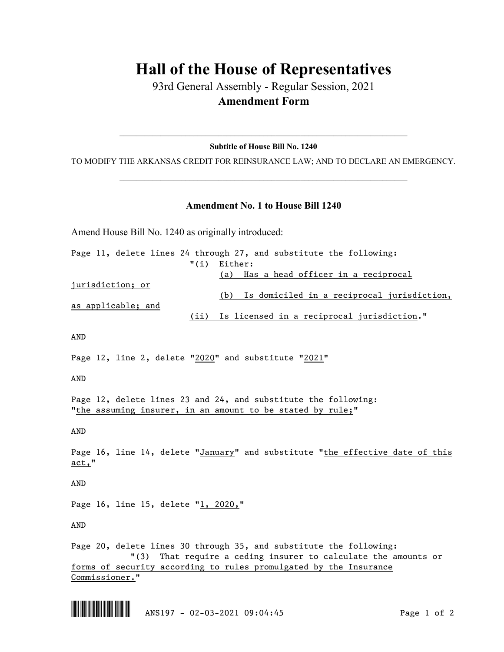## **Hall of the House of Representatives**

93rd General Assembly - Regular Session, 2021 **Amendment Form**

 $\_$  , and the set of the set of the set of the set of the set of the set of the set of the set of the set of the set of the set of the set of the set of the set of the set of the set of the set of the set of the set of th **Subtitle of House Bill No. 1240**

TO MODIFY THE ARKANSAS CREDIT FOR REINSURANCE LAW; AND TO DECLARE AN EMERGENCY.  $\_$  , and the set of the set of the set of the set of the set of the set of the set of the set of the set of the set of the set of the set of the set of the set of the set of the set of the set of the set of the set of th

## **Amendment No. 1 to House Bill 1240**

Amend House Bill No. 1240 as originally introduced:

Page 11, delete lines 24 through 27, and substitute the following: "(i) Either: (a) Has a head officer in a reciprocal jurisdiction; or (b) Is domiciled in a reciprocal jurisdiction, as applicable; and (ii) Is licensed in a reciprocal jurisdiction." AND Page 12, line 2, delete "2020" and substitute "2021" AND Page 12, delete lines 23 and 24, and substitute the following: "the assuming insurer, in an amount to be stated by rule;" AND Page 16, line 14, delete "January" and substitute "the effective date of this act," AND Page 16, line 15, delete "1, 2020," AND Page 20, delete lines 30 through 35, and substitute the following: "(3) That require a ceding insurer to calculate the amounts or forms of security according to rules promulgated by the Insurance Commissioner."